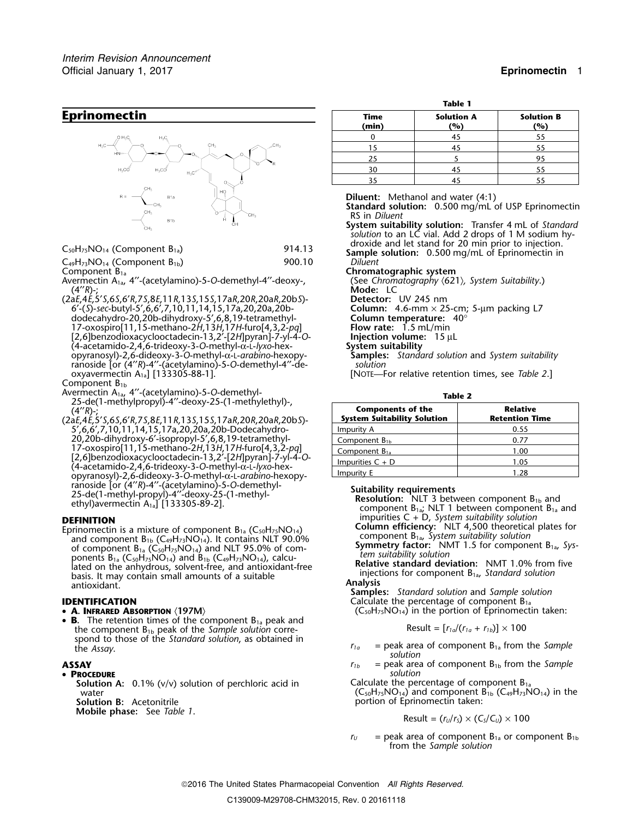# **Eprinomectin**



C49H73NO14 (Component B1b) 900.10 *Diluent*

Avermectin A<sub>1a</sub>, 4"-(acetylamino)-5-O-demethyl-4"-deoxy-, (4′′*R*)-; **Mode:** LC

(2a*E*,4*E*,5′*S*,6*S*,6′*R*,7*S*,8*E*,11*R*,13*S*,15*S*,17a*R*,20*R*,20a*R*,20b*S*)- **Detector:** UV 245 nm 6′-(*S*)-*sec*-butyl-5′,6,6′,7,10,11,14,15,17a,20,20a,20b- **Column:** 4.6-mm × 25-cm; 5-µm packing L7 dodecahydro-20,20b-dihydroxy-5′,6,8,19-tetramethyl- **Column temperature:** 40° 17-oxospiro[11,15-methano-2*H*,13*H*,17*H*-furo[4,3,2-*pq*] **Flow rate:** 1.5 mL/min [2,6]benzodioxacyclooctadecin-13,2′-[2*H*]pyran]-7-yl-4-*O*- **Injection volume:** 15 µL (4-acetamido-2,4,6-trideoxy-3-*O*-methyl-<sup>α</sup>-L-*lyxo*-hex- **System suitability** opyranosyl)-2,6-dideoxy-3-*O*-methyl-<sup>α</sup>-L-*arabino*-hexopy- **Samples:** *Standard solution* and *System suitability* ranoside [or (4′′*R*)-4′′-(acetylamino)-5-*O*-demethyl-4′′-de- *solution* oxyavermectin A1a] [133305-88-1]. [NOTE—For relative retention times, see *Table 2*.]

Component  $B_{1b}$ 

- Avermectin A<sub>1a</sub>, 4<sup>''</sup>-(acetylamino)-5-*O*-demethyl-<br>25-de(1-methylpropyl)-4<sup>''</sup>-deoxy-25-(1-methylethyl)-,<br>**Components of the** (4′′*R*)-; **Components of the Relative**
- (2a*E*,4*E*,5′*S*,6*S*,6′*R*,7*S*,8*E*,11*R*,13*S*,15*S*,17a*R*,20*R*,20a*R*,20b*S*)- **System Suitability Solution Retention Time** 5',6,6',7,10,11,14,15,17a,20,20a,20b-Dodecahydro-20,20b-dihydroxy-6'-isopropyl-5',6,8,19-tetramethyl- Component B<sub>1b</sub>  $\sim$  20077 17-oxospiro[11,15-methano-2H,13H,17H-furo[4,3,2-*pq*]<br>[2,6]benzodioxacyclooctadecin-13,2'-[2H]pyran]-7-yl-4-O-<br>(4-acetamido-2,4,6-trideoxy-3-O-methyl-α-L-Iyxo-hex-<br>(4-acetamido-2,4,6-trideoxy-3-O-methyl-α-L-Iyxo-hex-Impurity E 1.28 opyranosyl)-2,6-dideoxy-3-*O*-methyl-<sup>α</sup>-L-*arabino*-hexopy- $25\text{-de(1-methyl-propyl)}-24\text{°(2-20-wilocot2)}-4\text{°(2-20-wilocot2)}-25\text{-de(1-methyl-propyl)}-25\text{-de(1-methyl-propyl)}-4\text{°(2-20-wilocot2)}-25\text{-de(1-methyl-propyl)}-25\text{-de(1-methyl-propyl)}-25\text{-de(1-methyl-propyl)}-25\text{-de(1-methyl-propyl)}-25\text{-de(1-methyl-propyl)}-25\text{-de(1-methyl-propyl)}-25\text{-de(1-methyl-propyl)}-25\text{-de(1-methyl-20-wilocot2$

Epinomectin is a mixture of component  $B_{1a}$  ( $C_{30}H_{73}NO_{14}$ ). It contains NLT 90.0%<br>
of component  $B_{1a}$  ( $C_{30}H_{73}NO_{14}$ ) and NLT 95.0% of com-<br>
ponents  $B_{1a}$  ( $C_{30}H_{73}NO_{14}$ ) and NLT 95.0% of com-<br>
ponents

• A. INFRARED ABSORPTION (197M)

•**B.** The retention times of the component B<sub>1a</sub> peak and the component B<sub>1b</sub> peak of the *Sample solution* correspond to those of the *Standard solution*, as obtained in *<sup>r</sup>1a* = peak area of component B1a from the *Sample* the *Assay*. *solution*

•

- **PROCEDURE**<br>**Solution A:** 0.1% (v/v) solution of perchloric acid in *Solution* **Calculate the percentage of component B**<sub>1a</sub> **Solution A:** 0.1% ( $v/v$ ) solution of perchloric acid in
	-

**Mobile phase:** See *Table 1.* 

| Table 1       |                          |                          |  |  |  |
|---------------|--------------------------|--------------------------|--|--|--|
| Time<br>(min) | <b>Solution A</b><br>(%) | <b>Solution B</b><br>(%) |  |  |  |
|               | 45                       | 55                       |  |  |  |
| 15            | 45                       | 55                       |  |  |  |
| 25            |                          | 95                       |  |  |  |
| 30            |                          |                          |  |  |  |
|               |                          |                          |  |  |  |

35 45 55

**Diluent:** Methanol and water (4:1)

- **Standard solution:** 0.500 mg/mL of USP Eprinomectin RS in *Diluent*
- **System suitability solution:** Transfer 4 mL of *Standard solution* to an LC vial. Add 2 drops of 1 M sodium hydroxide and let stand for 20 min prior to injection. <sup>C</sup>50H75NO14 (Component B1a) 914.13 **Sample solution:** 0.500 mg/mL of Eprinomectin in

**Chromatographic system**<br>(See Chromatography (621), System Suitability.)

| <b>Components of the</b><br><b>System Suitability Solution</b> | <b>Relative</b><br><b>Retention Time</b> |  |  |
|----------------------------------------------------------------|------------------------------------------|--|--|
| Impurity A                                                     | 0.55                                     |  |  |
| Component $B_{1b}$                                             | 0.77                                     |  |  |
| Component $B_{1a}$                                             | 1.00                                     |  |  |
| Impurities $C + D$                                             | 1.05                                     |  |  |
| Impurity E                                                     | 1.28                                     |  |  |

**DEFINITION** impurities C + D, *System suitability solution*

**IDENTIFICATION IDENTIFICATION Calculate the percentage of component B<sub>1a</sub>**  $\left(C_{50}H_{75}NO_{14}\right)$  in the portion of Eprinomectin taken:

Result = 
$$
[r_{1a}/(r_{1a} + r_{1b})] \times 100
$$

- 
- **ASSAY** *r<sub>1b</sub>* = peak area of component B<sub>1b</sub> from the *Sample*<br>• **PROCEDURE**

water  $(C_{50}H_{75}NO_{14})$  and component  $B_{1b} (C_{49}H_{73}NO_{14})$  in the **Solution B:** Acetonitrile **portion of Eprinomectin taken:** 

$$
Result = (r_U/r_S) \times (C_S/C_U) \times 100
$$

 $r_U$  = peak area of component  $B_{1a}$  or component  $B_{1b}$ from the *Sample solution*

2016 The United States Pharmacopeial Convention *All Rights Reserved.*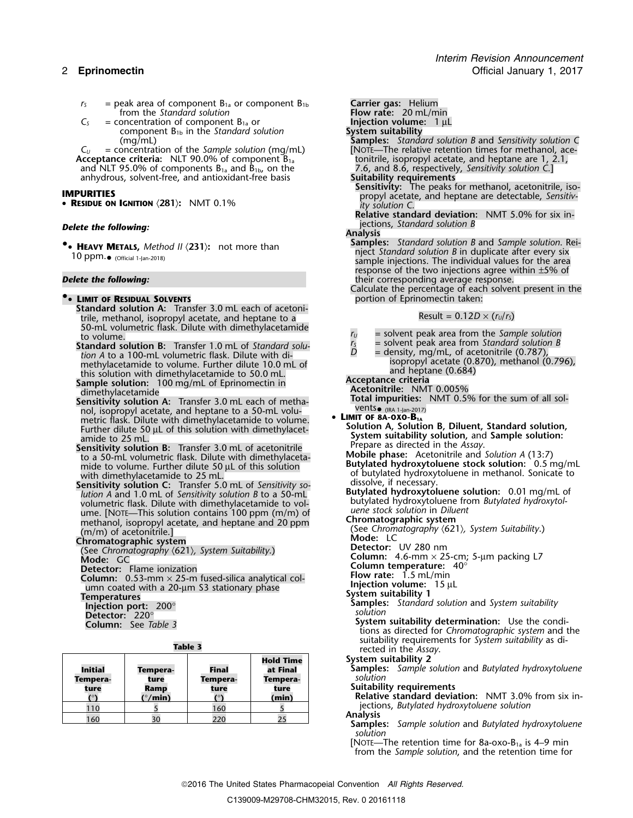- $r_s$  = peak area of component  $B_{1a}$  or component  $B_{1b}$  **Carrier gas:** Helium from the *Standard solution* **Flow rate:** 20 mL/min from the *Standard solution*
- 
- $C_5$  = concentration of component  $B_{1a}$  or **Injection volume:** 1  $\mu$ L component  $B_{1b}$  in the *Standard solution* **System suitability** component B<sub>1b</sub> in the *Standard solution* (mg/mL)

 $C_U$  = concentration of the *Sample solution* (mg/mL) [NOTE—The relative retention times for methanol, ace-<br> **Conceptance criteria:** NLT 90.0% of component  $B_{1a}$  fonitrile, isopropyl acetate, and heptane are 1, 2.1, **Acceptance criteria:** NLT 90.0% of component B1a tonitrile, isopropyl acetate, and heptane are 1, 2.1, and NLT 95.0% of components B<sub>1a</sub> and B<sub>1b</sub>, on the 7.6, and 8.6, respectively, anhydrous, solvent-free, and antioxidant-free basis **Suitability requirements** anhydrous, solvent-free, and antioxidant-free basis **Suitability requirements**<br>**Sensitivity:** The peaks for methanol, acetonitrile, iso-<br>**Sensitivity:** The peaks for methanol, acetonitrile, iso-

• **<sup>R</sup>ESIDUE ON IGNITION** 〈**281**〉**:** NMT 0.1% *ity solution C.*

• **HEAVY METALS,** Method II (231): not more than

# **•• LIMIT OF RESIDUAL SOLVENTS**

- **Standard solution A:** Transfer 3.0 mL each of acetoni- $R$  and  $R$  are the contract of the contract of the contract of the contract of trial  $R$  and  $R$  and  $R$  and  $R$  and  $R$  are  $R$  and  $R$  are  $R$  and  $R$  are  $R$  and  $R$  are  $R$  and  $R$  are  $R$  and  $R$  are  $R$  and  $R$  are 50-mL volumetric flask. Dilute with dimethylacetamide<br>to volume.<br>**In tandard solution B:** Transfer 1.0 mL of *Standard solution*  $I_s$  = solvent peak area from *Standard solution B*
- **Standard solution B:** Transfer 1.0 mL of *Standard solu-*<br> *tion A* to a 100-mL volumetric flask. Dilute with di-<br>
methylacetamide to volume. Further dilute 10.0 mL of and the state (0.870), methanol (0.796),<br>
isopropyl methylacetamide to volume. Further dilute 10.0 mL of isopropyl acetate (0.8<br>this solution with dimethylacetamide to 50.0 mL
- this solution with dimethylacetamide to 50.0 mL.<br> **Sample solution:** 100 mg/mL of Eprinomectin in **Acceptance criteria**<br> **Acceptance criteria Acceptance criteria**<br> **Acceptance criteria**
- **The Sensitivity solution A:** Transfer 3.0 mL each of metha-<br>Next solution and solution and hentane to a 50-ml volunol, isopropyl acetate, and heptane to a 50-mL volu-<br>metric flask. Dilute with dimethylacetamide to volume **LIMIT OF 8A-OXO-B**<sub>1A</sub> metric flask. Dilute with dimethylacetamide to volume.<br>Further dilute 50 µL of this solution with dimethylacet-**bution A**, Solution A, Solution and Cample as bution.
- System suitability solution, and Sample solution:<br>
System suitability solution, and Sample solution:<br>
Sensitivity solution B: Transfer 3.0 mL of acetonitrile<br>
to a 50-mL volumetric flask. Dilute with dimethylaceta<br>
mide to to a 50-mL volumetric flask. Dilute with dimethylacetamide to volume. Further dilute 50  $\mu$ L of this solution with dimethylacetamide to 25 mL.
- **Sensitivity solution C:** Transfer 5.0 mL of *Sensitivity solution B* to a 50-mL<br>
lution A and 1.0 mL of *Sensitivity solution B* to a 50-mL<br>
volumetric flask. Dilute with dimethylacetamide to vol-<br>
ume. [NOTE—This soluti methanol, isopropyl acetate, and heptane and 20 ppm<br>(m/m) of acetonitrile.]

**Chromatographic system**<br>(See Chromatography (621) System Suitability) **Detector:** UV 280 nm (See Chromatography *〈621〉, System Suitability.*)<br>**Mode:** GC **Mode: Column:** 4.6-mm × 25-cm; 5-µm packing L7 GC **Detector:** Flame ionization **Solumn in the Column temperature:** 40° Detector: Flame ionization<br>
Column: 0.53-mm × 25-m fused-silica analytical col-<br>
umn coated with a 20-µm S3 stationary phase<br> **Example 33 System Stationary phase**<br>
System suitability 1<br>
Samples: Standard solution and Syste

| <b>Initial</b><br>Tempera-<br>ture | Tempera-<br>ture<br>Ramp<br>(°/min) | Final<br>Tempera-<br>ture<br>01ء | <b>Hold Time</b><br>at Final<br>Tempera-<br>ture<br>(min) | System st<br>Samples<br>solution<br><b>Suitabili</b><br><b>Relative</b> |
|------------------------------------|-------------------------------------|----------------------------------|-----------------------------------------------------------|-------------------------------------------------------------------------|
| 110                                |                                     | 160                              |                                                           | iectior                                                                 |
| 160                                | 30                                  | 220                              |                                                           | <b>Analysis</b><br>Samples                                              |

- (mg/mL) **Samples:** *Standard solution B* and *Sensitivity solution C*
	-
- **SENSITIES**<br> **RESIDUE ON IGNITION** (281): NMT 0.1%<br> **RESIDUE ON IGNITION** (281): NMT 0.1%<br> *Ity solution* C.

**Relative standard deviation:** NMT 5.0% for six in-**Delete the following: Delete the following: jections**, *Standard solution B* 

# **Analysis**

- **Samples:** *Standard solution B* and *Sample solution*. Rei- **• <b>HEAVY** METALS, *Method II* ∖2317, The more than not all night *Standard solution B* in duplicate after every six 10 ppm.• (official 1-Jan-2018) sample injections. The individual values for the area response of the two injections agree within  $\pm$ 5% of **Delete the following:** their corresponding average response.
	- Calculate the percentage of each solvent present in the **•**

- 
- 
- 

Acetonitrile: NMT 0.005%<br>Total impurities: NMT 0.5% for the sum of all sol-

- -

of butylated hydroxytoluene in methanol. Sonicate to dissolve, if necessary.

- 
- 
- (See Chromatography *〈621〉, System Suitability.*)<br>**Mode:** LC
- 
- 
- 
- 
- 
- 
- 

**Detector:** 220°<br> **Detector:** 220°<br> **Column:** See Table 3 **2008**<br> **Column:** See Table 3 **2008 Column: System suitability determination:** Use the condi- See *Table 3* tions as directed for *Chromatographic system* and the suitability requirements for *System suitability* as di-**Table 3** rected in the *Assay*.

- **System suitability 2**
- **Initial Tempera- Final at Final Samples:** *Sample solution* and *Butylated hydroxytoluene*
- **Suitability requirements**

**Relative standard deviation:** NMT 3.0% from six injections, *Butylated hydroxytoluene solution* 

jections, *Butylated hydroxytoluene solution* <sup>110</sup> <sup>5</sup> <sup>160</sup> <sup>5</sup> **Analysis** <sup>160</sup> <sup>30</sup> <sup>220</sup> <sup>25</sup> **Samples:** *Sample solution* and *Butylated hydroxytoluene solution*

[NOTE—The retention time for 8a-oxo-B<sub>1a</sub> is 4–9 min from the *Sample solution*, and the retention time for